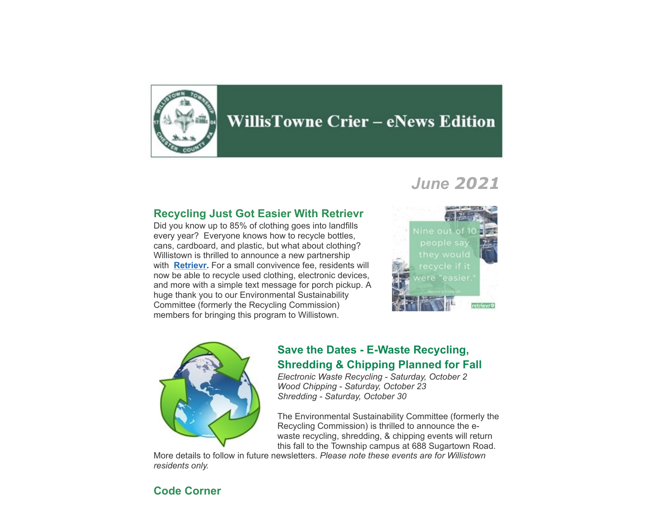

# **WillisTowne Crier – eNews Edition**

# *June 2021*

#### **Recycling Just Got Easier With Retrievr**

Did you know up to 85% of clothing goes into landfills every year? Everyone knows how to recycle bottles, cans, cardboard, and plastic, but what about clothing? Willistown is thrilled to announce a new partnership with **[Retrievr](https://retrievr.com/location/willistown-pa/).** For a small convivence fee, residents will now be able to recycle used clothing, electronic devices, and more with a simple text message for porch pickup. A huge thank you to our Environmental Sustainability Committee (formerly the Recycling Commission) members for bringing this program to Willistown.





### **Save the Dates - E-Waste Recycling, Shredding & Chipping Planned for Fall**

*Electronic Waste Recycling - Saturday, October 2 Wood Chipping - Saturday, October 23 Shredding - Saturday, October 30*

The Environmental Sustainability Committee (formerly the Recycling Commission) is thrilled to announce the ewaste recycling, shredding, & chipping events will return this fall to the Township campus at 688 Sugartown Road.

More details to follow in future newsletters. *Please note these events are for Willistown residents only.*

### **Code Corner**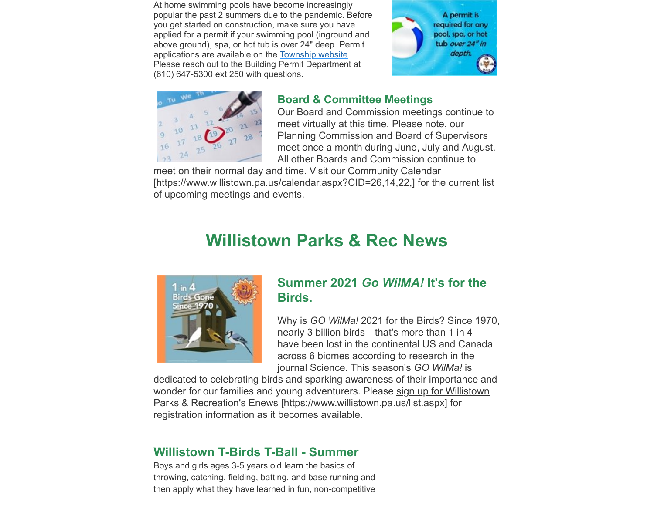At home swimming pools have become increasingly popular the past 2 summers due to the pandemic. Before you get started on construction, make sure you have applied for a permit if your swimming pool (inground and above ground), spa, or hot tub is over 24" deep. Permit applications are available on the [Township website.](https://www.willistown.pa.us/197/Documents-Permits) Please reach out to the Building Permit Department at (610) 647-5300 ext 250 with questions.





### **Board & Committee Meetings**

Our Board and Commission meetings continue to meet virtually at this time. Please note, our Planning Commission and Board of Supervisors meet once a month during June, July and August. All other Boards and Commission continue to

meet on their normal day and time. Visit our Community Calendar [\[https://www.willistown.pa.us/calendar.aspx?CID=26,14,22,\] for the](https://www.willistown.pa.us/calendar.aspx?CID=26,14,22,) current list of upcoming meetings and events.

# **Willistown Parks & Rec News**



### **Summer 2021** *Go WilMA!* **It's for the Birds.**

Why is *GO WilMa!* 2021 for the Birds? Since 1970, nearly 3 billion birds—that's more than 1 in 4 have been lost in the continental US and Canada across 6 biomes according to research in the journal Science. This season's *GO WilMa!* is

dedicated to celebrating birds and sparking awareness of their importance and [wonder for our families and young adventurers. Please sign up for Willistown](https://www.willistown.pa.us/list.aspx) Parks & Recreation's Enews [https://www.willistown.pa.us/list.aspx] for registration information as it becomes available.

### **Willistown T-Birds T-Ball - Summer**

Boys and girls ages 3-5 years old learn the basics of throwing, catching, fielding, batting, and base running and then apply what they have learned in fun, non-competitive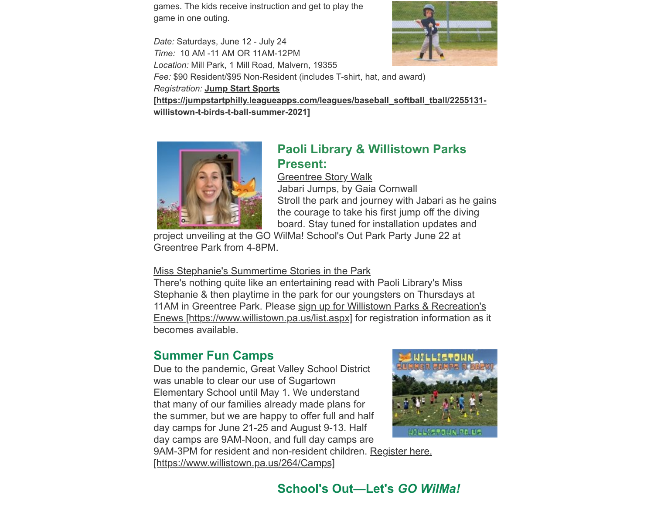games. The kids receive instruction and get to play the game in one outing.

*Date:* Saturdays, June 12 - July 24 *Time:* 10 AM -11 AM OR 11AM-12PM *Location:* Mill Park, 1 Mill Road, Malvern, 19355



*Fee:* \$90 Resident/\$95 Non-Resident (includes T-shirt, hat, and award)

*Registration:* **Jump Start Sports**

**[\[https://jumpstartphilly.leagueapps.com/leagues/baseball\\_softball\\_tball/2255131](https://jumpstartphilly.leagueapps.com/leagues/baseball_softball_tball/2255131-willistown-t-birds-t-ball-summer-2021) willistown-t-birds-t-ball-summer-2021]**



# **Paoli Library & Willistown Parks Present:**

Greentree Story Walk

Jabari Jumps, by Gaia Cornwall Stroll the park and journey with Jabari as he gains the courage to take his first jump off the diving board. Stay tuned for installation updates and

project unveiling at the GO WilMa! School's Out Park Party June 22 at Greentree Park from 4-8PM.

#### Miss Stephanie's Summertime Stories in the Park

There's nothing quite like an entertaining read with Paoli Library's Miss Stephanie & then playtime in the park for our youngsters on Thursdays at 11AM in Greentree Park. Please sign up for Willistown Parks & Recreation's [Enews \[https://www.willistown.pa.us/list.aspx\]](https://www.willistown.pa.us/list.aspx) for registration information as it becomes available.

# **Summer Fun Camps**

Due to the pandemic, Great Valley School District was unable to clear our use of Sugartown Elementary School until May 1. We understand that many of our families already made plans for the summer, but we are happy to offer full and half day camps for June 21-25 and August 9-13. Half day camps are 9AM-Noon, and full day camps are



[9AM-3PM for resident and non-resident children. Register here.](https://www.willistown.pa.us/264/Camps) [https://www.willistown.pa.us/264/Camps]

# **School's Out—Let's** *GO WilMa!*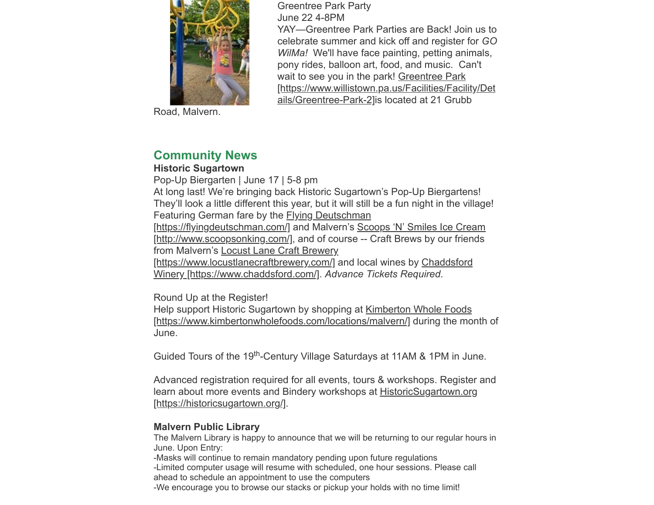

Road, Malvern.

Greentree Park Party June 22 4-8PM

YAY—Greentree Park Parties are Back! Join us to celebrate summer and kick off and register for *GO WilMa!* We'll have face painting, petting animals, pony rides, balloon art, food, and music. Can't wait to see you in the park! Greentree Park [\[https://www.willistown.pa.us/Facilities/Facility/Det](https://www.willistown.pa.us/Facilities/Facility/Details/Greentree-Park-2) ails/Greentree-Park-2]is located at 21 Grubb

# **Community News**

#### **Historic Sugartown**

Pop-Up Biergarten | June 17 | 5-8 pm At long last! We're bringing back Historic Sugartown's Pop-Up Biergartens! They'll look a little different this year, but it will still be a fun night in the village! Featuring German fare by the Flying Deutschman [\[https://flyingdeutschman.com/\]](https://flyingdeutschman.com/) and Malvern's Scoops 'N' Smiles Ice Cream [\[http://www.scoopsonking.com/\], and of course -- Craft Brews by our friends](http://www.scoopsonking.com/) from Malvern's Locust Lane Craft Brewery

[\[https://www.locustlanecraftbrewery.com/\]](https://www.locustlanecraftbrewery.com/) and local wines by Chaddsford Winery [https://www.chaddsford.com/]. *Advance Tickets Required*.

Round Up at the Register!

[Help support Historic Sugartown by shopping at Kimberton Whole Foods](https://www.kimbertonwholefoods.com/locations/malvern/) [https://www.kimbertonwholefoods.com/locations/malvern/] during the month of June.

Guided Tours of the 19<sup>th</sup>-Century Village Saturdays at 11AM & 1PM in June.

Advanced registration required for all events, tours & workshops. Register and [learn about more events and Bindery workshops at HistoricSugartown.org](https://historicsugartown.org/) [https://historicsugartown.org/].

#### **Malvern Public Library**

The Malvern Library is happy to announce that we will be returning to our regular hours in June. Upon Entry:

-Masks will continue to remain mandatory pending upon future regulations -Limited computer usage will resume with scheduled, one hour sessions. Please call ahead to schedule an appointment to use the computers -We encourage you to browse our stacks or pickup your holds with no time limit!